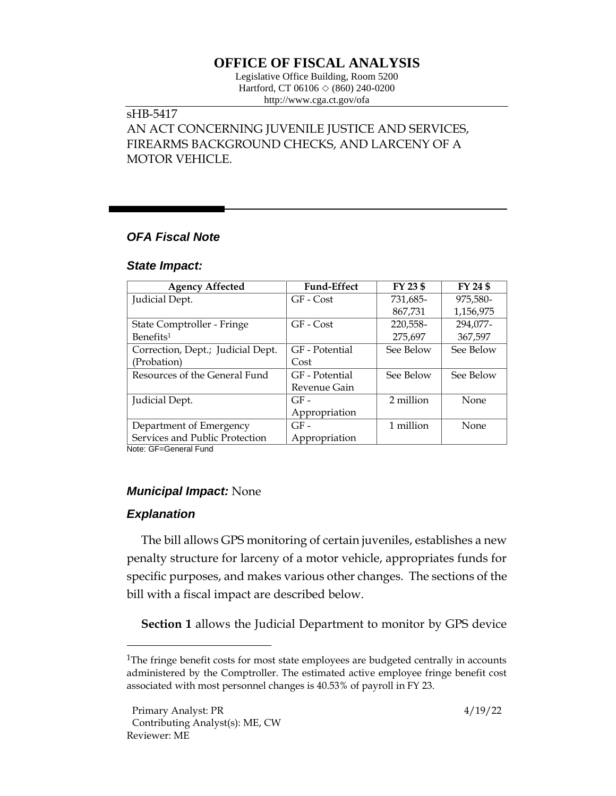# **OFFICE OF FISCAL ANALYSIS**

Legislative Office Building, Room 5200 Hartford, CT 06106  $\Diamond$  (860) 240-0200 http://www.cga.ct.gov/ofa

## sHB-5417

AN ACT CONCERNING JUVENILE JUSTICE AND SERVICES, FIREARMS BACKGROUND CHECKS, AND LARCENY OF A MOTOR VEHICLE.

## *OFA Fiscal Note*

#### *State Impact:*

| <b>Agency Affected</b>            | <b>Fund-Effect</b> | FY 23 \$  | FY 24 \$  |
|-----------------------------------|--------------------|-----------|-----------|
| Judicial Dept.                    | GF - Cost          | 731,685-  | 975,580-  |
|                                   |                    | 867,731   | 1,156,975 |
| State Comptroller - Fringe        | GF - Cost          | 220,558-  | 294,077-  |
| Benefits <sup>1</sup>             |                    | 275,697   | 367,597   |
| Correction, Dept.; Judicial Dept. | GF - Potential     | See Below | See Below |
| (Probation)                       | Cost               |           |           |
| Resources of the General Fund     | GF - Potential     | See Below | See Below |
|                                   | Revenue Gain       |           |           |
| Judicial Dept.                    | $GF-$              | 2 million | None      |
|                                   | Appropriation      |           |           |
| Department of Emergency           | $GF-$              | 1 million | None      |
| Services and Public Protection    | Appropriation      |           |           |

Note: GF=General Fund

## *Municipal Impact:* None

## *Explanation*

The bill allows GPS monitoring of certain juveniles, establishes a new penalty structure for larceny of a motor vehicle, appropriates funds for specific purposes, and makes various other changes. The sections of the bill with a fiscal impact are described below.

**Section 1** allows the Judicial Department to monitor by GPS device

<sup>&</sup>lt;sup>1</sup>The fringe benefit costs for most state employees are budgeted centrally in accounts administered by the Comptroller. The estimated active employee fringe benefit cost associated with most personnel changes is 40.53% of payroll in FY 23.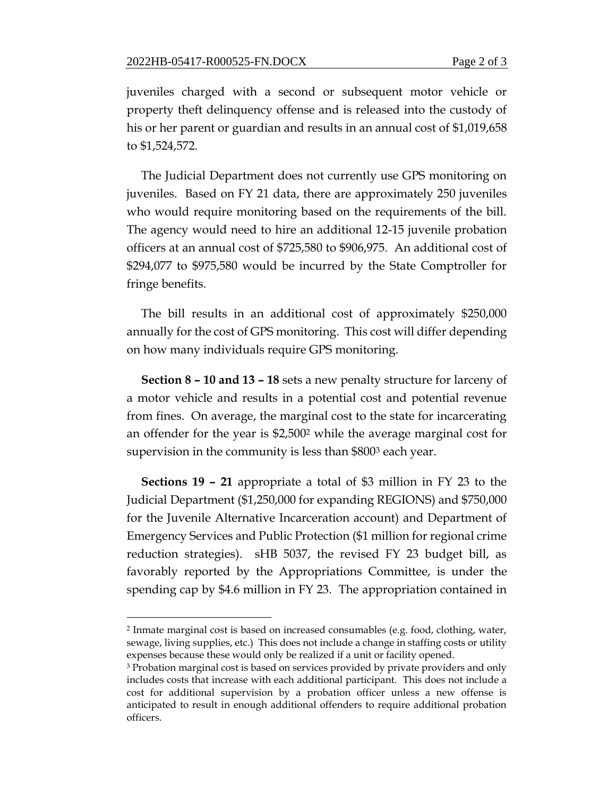juveniles charged with a second or subsequent motor vehicle or property theft delinquency offense and is released into the custody of his or her parent or guardian and results in an annual cost of \$1,019,658 to \$1,524,572.

The Judicial Department does not currently use GPS monitoring on juveniles. Based on FY 21 data, there are approximately 250 juveniles who would require monitoring based on the requirements of the bill. The agency would need to hire an additional 12-15 juvenile probation officers at an annual cost of \$725,580 to \$906,975. An additional cost of \$294,077 to \$975,580 would be incurred by the State Comptroller for fringe benefits.

The bill results in an additional cost of approximately \$250,000 annually for the cost of GPS monitoring. This cost will differ depending on how many individuals require GPS monitoring.

**Section 8 – 10 and 13 – 18** sets a new penalty structure for larceny of a motor vehicle and results in a potential cost and potential revenue from fines. On average, the marginal cost to the state for incarcerating an offender for the year is \$2,500<sup>2</sup> while the average marginal cost for supervision in the community is less than \$800<sup>3</sup> each year.

**Sections 19 – 21** appropriate a total of \$3 million in FY 23 to the Judicial Department (\$1,250,000 for expanding REGIONS) and \$750,000 for the Juvenile Alternative Incarceration account) and Department of Emergency Services and Public Protection (\$1 million for regional crime reduction strategies). sHB 5037, the revised FY 23 budget bill, as favorably reported by the Appropriations Committee, is under the spending cap by \$4.6 million in FY 23. The appropriation contained in

<sup>2</sup> Inmate marginal cost is based on increased consumables (e.g. food, clothing, water, sewage, living supplies, etc.) This does not include a change in staffing costs or utility expenses because these would only be realized if a unit or facility opened.

<sup>3</sup> Probation marginal cost is based on services provided by private providers and only includes costs that increase with each additional participant. This does not include a cost for additional supervision by a probation officer unless a new offense is anticipated to result in enough additional offenders to require additional probation officers.